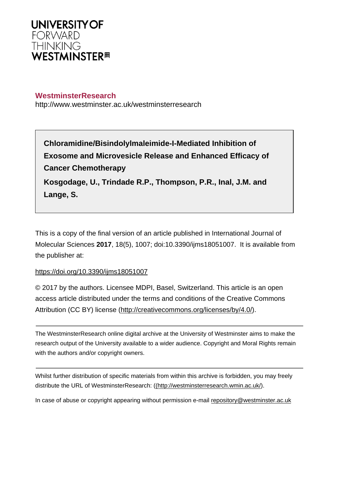

# **WestminsterResearch**

http://www.westminster.ac.uk/westminsterresearch

**Chloramidine/Bisindolylmaleimide-I-Mediated Inhibition of Exosome and Microvesicle Release and Enhanced Efficacy of Cancer Chemotherapy**

**Kosgodage, U., Trindade R.P., Thompson, P.R., Inal, J.M. and Lange, S.**

This is a copy of the final version of an article published in International Journal of Molecular Sciences **2017**, 18(5), 1007; doi:10.3390/ijms18051007. It is available from the publisher at:

# <https://doi.org/10.3390/ijms18051007>

© 2017 by the authors. Licensee MDPI, Basel, Switzerland. This article is an open access article distributed under the terms and conditions of the Creative Commons Attribution (CC BY) license [\(http://creativecommons.org/licenses/by/4.0/\)](http://creativecommons.org/licenses/by/4.0/).

The WestminsterResearch online digital archive at the University of Westminster aims to make the research output of the University available to a wider audience. Copyright and Moral Rights remain with the authors and/or copyright owners.

Whilst further distribution of specific materials from within this archive is forbidden, you may freely distribute the URL of WestminsterResearch: [\(\(http://westminsterresearch.wmin.ac.uk/](http://westminsterresearch.wmin.ac.uk/)).

In case of abuse or copyright appearing without permission e-mail <repository@westminster.ac.uk>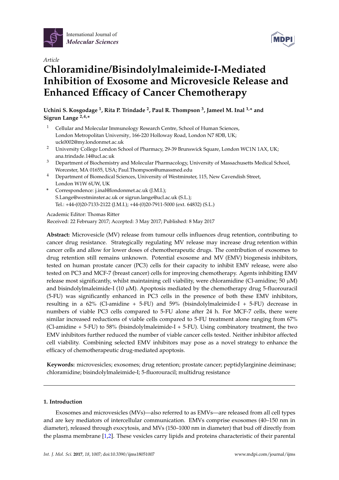



# *Article* **Chloramidine/Bisindolylmaleimide-I-Mediated Inhibition of Exosome and Microvesicle Release and Enhanced Efficacy of Cancer Chemotherapy**

**Uchini S. Kosgodage <sup>1</sup> , Rita P. Trindade <sup>2</sup> , Paul R. Thompson <sup>3</sup> , Jameel M. Inal 1,\* and Sigrun Lange 2,4,\***

- <sup>1</sup> Cellular and Molecular Immunology Research Centre, School of Human Sciences, London Metropolitan University, 166-220 Holloway Road, London N7 8DB, UK; uck0002@my.londonmet.ac.uk
- <sup>2</sup> University College London School of Pharmacy, 29-39 Brunswick Square, London WC1N 1AX, UK; ana.trindade.14@ucl.ac.uk
- <sup>3</sup> Department of Biochemistry and Molecular Pharmacology, University of Massachusetts Medical School, Worcester, MA 01655, USA; Paul.Thompson@umassmed.edu
- <sup>4</sup> Department of Biomedical Sciences, University of Westminster, 115, New Cavendish Street, London W1W 6UW, UK
- **\*** Correspondence: j.inal@londonmet.ac.uk (J.M.I.); S.Lange@westminster.ac.uk or sigrun.lange@ucl.ac.uk (S.L.); Tel.: +44-(0)20-7133-2122 (J.M.I.); +44-(0)20-7911-5000 (ext. 64832) (S.L.)

Academic Editor: Thomas Ritter

Received: 22 February 2017; Accepted: 3 May 2017; Published: 8 May 2017

**Abstract:** Microvesicle (MV) release from tumour cells influences drug retention, contributing to cancer drug resistance. Strategically regulating MV release may increase drug retention within cancer cells and allow for lower doses of chemotherapeutic drugs. The contribution of exosomes to drug retention still remains unknown. Potential exosome and MV (EMV) biogenesis inhibitors, tested on human prostate cancer (PC3) cells for their capacity to inhibit EMV release, were also tested on PC3 and MCF-7 (breast cancer) cells for improving chemotherapy. Agents inhibiting EMV release most significantly, whilst maintaining cell viability, were chloramidine (Cl-amidine; 50  $\mu$ M) and bisindolylmaleimide-I (10  $\mu$ M). Apoptosis mediated by the chemotherapy drug 5-fluorouracil (5-FU) was significantly enhanced in PC3 cells in the presence of both these EMV inhibitors, resulting in a 62% (Cl-amidine + 5-FU) and 59% (bisindolylmaleimide-I + 5-FU) decrease in numbers of viable PC3 cells compared to 5-FU alone after 24 h. For MCF-7 cells, there were similar increased reductions of viable cells compared to 5-FU treatment alone ranging from 67% (Cl-amidine + 5-FU) to 58% (bisindolylmaleimide-I + 5-FU). Using combinatory treatment, the two EMV inhibitors further reduced the number of viable cancer cells tested. Neither inhibitor affected cell viability. Combining selected EMV inhibitors may pose as a novel strategy to enhance the efficacy of chemotherapeutic drug-mediated apoptosis.

**Keywords:** microvesicles; exosomes; drug retention; prostate cancer; peptidylarginine deiminase; chloramidine; bisindolylmaleimide-I; 5-fluorouracil; multidrug resistance

# **1. Introduction**

Exosomes and microvesicles (MVs)—also referred to as EMVs—are released from all cell types and are key mediators of intercellular communication. EMVs comprise exosomes (40–150 nm in diameter), released through exocytosis, and MVs (150–1000 nm in diameter) that bud off directly from the plasma membrane [1,2]. These vesicles carry lipids and proteins characteristic of their parental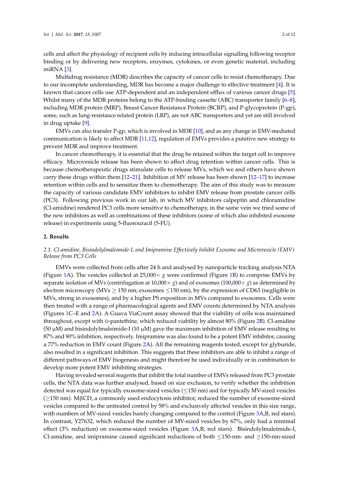cells and affect the physiology of recipient cells by inducing intracellular signalling following receptor binding or by delivering new receptors, enzymes, cytokines, or even genetic material, including miRNA [3].

Multidrug resistance (MDR) describes the capacity of cancer cells to resist chemotherapy. Due to our incomplete understanding, MDR has become a major challenge to effective treatment [4]. It is known that cancer cells use ATP-dependent and an independent efflux of various cancer drugs [5]. Whilst many of the MDR proteins belong to the ATP-binding cassette (ABC) transporter family [6–8], including MDR protein (MRP), Breast Cancer Resistance Protein (BCRP), and P-glycoprotein (P-gp), some, such as lung-resistance related protein (LRP), are not ABC transporters and yet are still involved in drug uptake [9].

EMVs can also transfer P-gp, which is involved in MDR [10], and as any change in EMV-mediated communication is likely to affect MDR [11,12], regulation of EMVs provides a putative new strategy to prevent MDR and improve treatment.

In cancer chemotherapy, it is essential that the drug be retained within the target cell to improve efficacy. Microvesicle release has been shown to affect drug retention within cancer cells. This is because chemotherapeutic drugs stimulate cells to release MVs, which we and others have shown carry these drugs within them [12–21]. Inhibition of MV release has been shown [12–17] to increase retention within cells and to sensitize them to chemotherapy. The aim of this study was to measure the capacity of various candidate EMV inhibitors to inhibit EMV release from prostate cancer cells (PC3). Following previous work in our lab, in which MV inhibitors calpeptin and chloramidine (Cl-amidine) rendered PC3 cells more sensitive to chemotherapy, in the same vein we tried some of the new inhibitors as well as combinations of these inhibitors (some of which also inhibited exosome release) in experiments using 5-fluorouracil (5-FU).

#### **2. Results**

# *2.1. Cl-amidine, Bisindolylmaleimide-I, and Imipramine Effectively Inhibit Exosome and Microvesicle (EMV) Release from PC3 Cells*

EMVs were collected from cells after 24 h and analysed by nanoparticle tracking analysis NTA (Figure 1A). The vesicles collected at 25,000× *g* were confirmed (Figure 1B) to comprise EMVs by separate isolation of MVs (centrifugation at  $10,000 \times g$ ) and of exosomes ( $100,000 \times g$ ) as determined by electron microscopy (MVs  $\geq$  150 nm; exosomes  $\leq$  150 nm), by the expression of CD63 (negligible in MVs, strong in exosomes), and by a higher PS exposition in MVs compared to exosomes. Cells were then treated with a range of pharmacological agents and EMV counts determined by NTA analysis (Figures 1C–E and 2A). A Guava ViaCount assay showed that the viability of cells was maintained throughout, except with D-pantethine, which reduced viability by almost 80% (Figure 2B). Cl-amidine (50  $\mu$ M) and bisindolylmaleimide-I (10  $\mu$ M) gave the maximum inhibition of EMV release resulting in 87% and 90% inhibition, respectively. Imipramine was also found to be a potent EMV inhibitor, causing a 77% reduction in EMV count (Figure 2A). All the remaining reagents tested, except for glyburide, also resulted in a significant inhibition. This suggests that these inhibitors are able to inhibit a range of different pathways of EMV biogenesis and might therefore be used individually or in combination to develop more potent EMV inhibiting strategies.

Having revealed several reagents that inhibit the total number of EMVs released from PC3 prostate cells, the NTA data was further analysed, based on size exclusion, to verify whether the inhibition detected was equal for typically exosome-sized vesicles (≤150 nm) and for typically MV-sized vesicles  $(≥150 \text{ nm})$ . M $βCD$ , a commonly used endocytosis inhibitor, reduced the number of exosome-sized vesicles compared to the untreated control by 58% and exclusively affected vesicles in this size range, with numbers of MV-sized vesicles barely changing compared to the control (Figure 3A,B, red stars). In contrast, Y27632, which reduced the number of MV-sized vesicles by 67%, only had a minimal effect (3% reduction) on exosome-sized vesicles (Figure 3A,B; red stars). Bisindolylmaleimide-I, Cl-amidine, and imipramine caused significant reductions of both  $\leq$ 150-nm- and  $\geq$ 150-nm-sized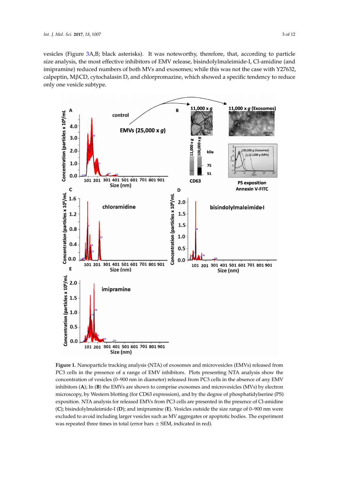vesicles (Figure 3A,B; black asterisks). It was noteworthy, therefore, that, according to particle size analysis, the most effective inhibitors of EMV release, bisindolylmaleimide-I, Cl-amidine (and imipramine) reduced numbers of both MVs and exosomes; while this was not the case with Y27632, calpeptin, MβCD, cytochalasin D, and chlorpromazine, which showed a specific tendency to reduce only one vesicle subtype.



**Figure 1.** Nanoparticle tracking analysis (NTA) of exosomes and microvesicles (EMVs) released from **Figure 1.** Nanoparticle tracking analysis (NTA) of exosomes and microvesicles (EMVs) released from PC3 cells in the presence of a range of EMV inhibitors. Plots presenting NTA analysis show the PC3 cells in the presence of a range of EMV inhibitors. Plots presenting NTA analysis show the concentration of vesicles (0–900 nm in diameter) released from PC3 cells in the absence of any EMV concentration of vesicles (0–900 nm in diameter) released from PC3 cells in the absence of any EMV inhibitors (A); In (B) the EMVs are shown to comprise exosomes and microvesicles (MVs) by electron microscopy, by Western blotting (for CD63 expression), and by the degree of phosphatidylserine (PS) microscopy, by Western blotting (for CD63 expression), and by the degree of phosphatidylserine (PS) exposition. NTA analysis for released EMVs from PC3 cells are presented in the presence of Cl-amidine (C); bisindolylmaleimide-I (D); and imipramine (E). Vesicles outside the size range of 0-900 nm were excluded to avoid including larger vesicles such as MV aggregates or apoptotic bodies. The experiment was repeated three times in total (error bars  $\pm$  SEM, indicated in red).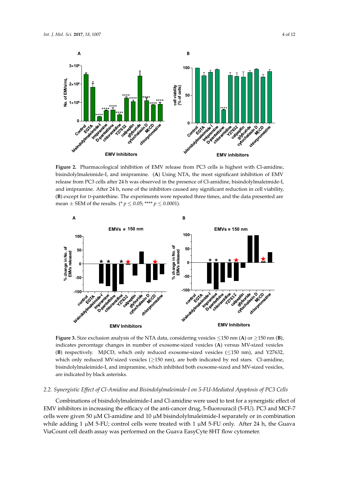

**Figure 2.** Pharmacological inhibition of EMV release from PC3 cells is highest with Cl-amidine, bisindolylmaleimide-I, and imipramine. (A) Using NTA, the most significant inhibition of EMV release from PC3 cells after 24 h was observed in the presence of Cl-amidine, bisindolylmaleimide-I, and imipramine. After 24 h, none of the inhibitors caused any significant reduction in cell viability, (B) except for D-pantethine. The experiments were repeated three times, and the data presented are mean  $\pm$  SEM of the results. (\*  $p \le 0.05$ ; \*\*\*\*  $p \le 0.0001$ ). **Figure 2.** Pharmacological inhibition of EMV release from PC3 cells is highest with Cl-amidine, **Figure 2.** Pharmacological inhibition of EMV release from PC3 cells is highest with Cl-amidine,



indicates percentage changes in number of exosome-sized vesicles (A) versus MV-sized vesicles (B) respectively. M<sub>B</sub>CD, which only reduced exosome-sized vesicles ( $\leq$ 150 nm), and Y27632,  $r_{\text{c}}$  respectively. Mapch only reduced the vestch only reduced exosome-sized vesicles ( $\geq$ 150 nm), are both indicated by red stars. Cl-ami bisindolylmaleimide-I, and imipramine, which inhibited both exosome-sized and MV-sized vesicles, are indicated by black asterisks. which only reduced MV-sized vesicles ( $\geq$ 150 nm), are both indicated by red stars. Cl-amidine, **Figure 3.** Size exclusion analysis of the NTA data, considering vesicles ≤150 nm (**A**) or ≥150 nm (**B**),

# 2.2. Synergistic Effect of Cl-Amidine and Bisindolylmaleimide-I on 5-FU-Mediated Apoptosis of PC3 Cells

Combinations of bisindolylmaleimide-I and Cl-amidine were used to test for a synergistic effect of EMV inhibitors in increasing the efficacy of the anti-cancer drug, 5-fluorouracil (5-FU). PC3 and MCF-7 cells were given 50  $\mu$ M Cl-amidine and 10  $\mu$ M bisindolylmaleimide-I separately or in combination while adding 1  $\mu$ M 5-FU; control cells were treated with 1  $\mu$ M 5-FU only. After 24 h, the Guava ViaCount cell death assay was performed on the Guava EasyCyte 8HT flow cytometer.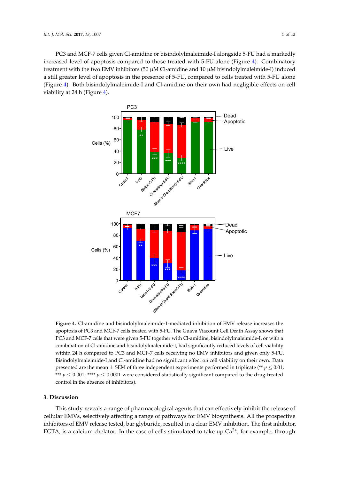PC3 and MCF-7 cells given Cl-amidine or bisindolylmaleimide-I alongside 5-FU had a markedly PC3 and MCF-7 cells given Cl-amidine or bisindolylmaleimide-I alongside 5-FU had a markedly increased level of apoptosis compared to those treated with 5-FU alone (Figure 4). Combinatory increased level of apoptosis compared to those treated with 5-FU alone (Figure 4). Combinatory treatment with the two EMV inhibitors (50  $\mu$ M Cl-amidine and 10  $\mu$ M bisindolylmaleimide-I) induced a still greater level of apoptosis in the presence of 5-FU, compared to cells treated with 5-FU alone (Figure 4). Both bisindolylmaleimide-I and Cl-amidine on their own had negligible effects on cell viability at 24 h (Figure 4).  $\sum_{i=1}^{n}$  induced a strill greater level of  $\sum_{i=1}^{n}$   $\sum_{i=1}^{n}$   $\sum_{i=1}^{n}$  and  $\sum_{i=1}^{n}$   $\sum_{i=1}^{n}$   $\sum_{i=1}^{n}$ 



apoptosis of PC3 and MCF-7 cells treated with 5-FU. The Guava Viacount Cell Death Assay shows that PC3 and MCF-7 cells that were given 5-FU together with Cl-amidine, bisindolylmaleimide-I, or with a  $t \sim 7$  cells that were given  $5-5$  cells that with  $\sim 5$  cells that  $\sim 1$ , or  $\sim 1$ , or  $\sim 1$ , or  $\sim 1$ , or  $\sim 1$ , or  $\sim 1$ , or  $\sim 1$ , or  $\sim 1$ , or  $\sim 1$ , or  $\sim 1$ ,  $\sim 1$ ,  $\sim 1$ ,  $\sim 1$ ,  $\sim 1$ ,  $\sim 1$ ,  $\sim$ combination of Cl-amidine and bisindolylmaleimide-I, had significantly reduced levels of cell viability within 24 h compared to PC3 and MCF-7 cells receiving no EMV inhibitors and given only 5-FU. Bisindolylmaleimide-I and Cl-amidine had no significant effect on cell viability on their own. Data presented are the mean  $\pm$  SEM of three independent experiments performed in triplicate (\*\*  $p \leq 0.01$ ; \*\*\*  $p \leq 0.001$ ; \*\*\*\*  $p \leq 0.0001$  were considered statistically significant compared to the drug-treated control in the absence of inhibitors). control in the absence of inhibitors). **Figure 4.** Cl-amidine and bisindolylmaleimide-1-mediated inhibition of EMV release increases the

## **3. Discussion**

This study reveals a range of pharmacological agents that can effectively inhibit the release of cellular EMVs, selectively affecting a range of pathways for EMV biosynthesis. All the prospective inhibitors of EMV release tested, bar glyburide, resulted in a clear EMV inhibition. The first inhibitor, EGTA, is a calcium chelator. In the case of cells stimulated to take up  $Ca^{2+}$ , for example, through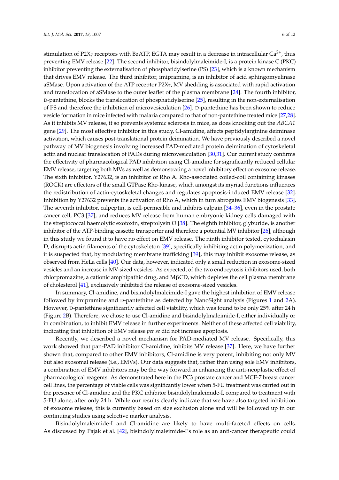stimulation of P2X<sub>7</sub> receptors with BzATP, EGTA may result in a decrease in intracellular  $Ca^{2+}$ , thus preventing EMV release [22]. The second inhibitor, bisindolylmaleimide-I, is a protein kinase C (PKC) inhibitor preventing the externalisation of phosphatidylserine (PS) [23], which is a known mechanism that drives EMV release. The third inhibitor, imipramine, is an inhibitor of acid sphingomyelinase aSMase. Upon activation of the ATP receptor  $P2X_7$ , MV shedding is associated with rapid activation and translocation of aSMase to the outer leaflet of the plasma membrane [24]. The fourth inhibitor, D-pantethine, blocks the translocation of phosphatidylserine [25], resulting in the non-externalisation of PS and therefore the inhibition of microvesiculation [26]. D-pantethine has been shown to reduce vesicle formation in mice infected with malaria compared to that of non-pantethine treated mice [27,28]. As it inhibits MV release, it so prevents systemic sclerosis in mice, as does knocking out the *ABCA1* gene [29]. The most effective inhibitor in this study, Cl-amidine, affects peptidylarginine deiminase activation, which causes post-translational protein deimination. We have previously described a novel pathway of MV biogenesis involving increased PAD-mediated protein deimination of cytoskeletal actin and nuclear translocation of PADs during microvesiculation [30,31]. Our current study confirms the effectivity of pharmacological PAD inhibition using Cl-amidine for significantly reduced cellular EMV release, targeting both MVs as well as demonstrating a novel inhibitory effect on exosome release. The sixth inhibitor, Y27632, is an inhibitor of Rho A. Rho-associated coiled-coil containing kinases (ROCK) are effectors of the small GTPase Rho-kinase, which amongst its myriad functions influences the redistribution of actin-cytoskeletal changes and regulates apoptosis-induced EMV release [32]. Inhibition by Y27632 prevents the activation of Rho A, which in turn abrogates EMV biogenesis [33]. The seventh inhibitor, calpeptin, is cell-permeable and inhibits calpain [34–36], even in the prostate cancer cell, PC3 [37], and reduces MV release from human embryonic kidney cells damaged with the streptococcal haemolytic exotoxin, streptolysin O [38]. The eighth inhibitor, glyburide, is another inhibitor of the ATP-binding cassette transporter and therefore a potential MV inhibitor [26], although in this study we found it to have no effect on EMV release. The ninth inhibitor tested, cytochalasin D, disrupts actin filaments of the cytoskeleton [39], specifically inhibiting actin polymerization, and it is suspected that, by modulating membrane trafficking [39], this may inhibit exosome release, as observed from HeLa cells [40]. Our data, however, indicated only a small reduction in exosome-sized vesicles and an increase in MV-sized vesicles. As expected, of the two endocytosis inhibitors used, both chlorpromazine, a cationic amphipathic drug, and MβCD, which depletes the cell plasma membrane of cholesterol [41], exclusively inhibited the release of exosome-sized vesicles.

In summary, Cl-amidine, and bisindolylmaleimide-I gave the highest inhibition of EMV release followed by imipramine and D-pantethine as detected by NanoSight analysis (Figures 1 and 2A). However, D-pantethine significantly affected cell viability, which was found to be only 25% after 24 h (Figure 2B). Therefore, we chose to use Cl-amidine and bisindolylmaleimide-I, either individually or in combination, to inhibit EMV release in further experiments. Neither of these affected cell viability, indicating that inhibition of EMV release *per se* did not increase apoptosis.

Recently, we described a novel mechanism for PAD-mediated MV release. Specifically, this work showed that pan-PAD inhibitor Cl-amidine, inhibits MV release [37]. Here, we have further shown that, compared to other EMV inhibitors, Cl-amidine is very potent, inhibiting not only MV but also exosomal release (i.e., EMVs). Our data suggests that, rather than using sole EMV inhibitors, a combination of EMV inhibitors may be the way forward in enhancing the anti-neoplastic effect of pharmacological reagents. As demonstrated here in the PC3 prostate cancer and MCF-7 breast cancer cell lines, the percentage of viable cells was significantly lower when 5-FU treatment was carried out in the presence of Cl-amidine and the PKC inhibitor bisindolylmaleimide-I, compared to treatment with 5-FU alone, after only 24 h. While our results clearly indicate that we have also targeted inhibition of exosome release, this is currently based on size exclusion alone and will be followed up in our continuing studies using selective marker analysis.

Bisindolylmaleimide-I and Cl-amidine are likely to have multi-faceted effects on cells. As discussed by Pajak et al. [42], bisindolylmaleimide-I's role as an anti-cancer therapeutic could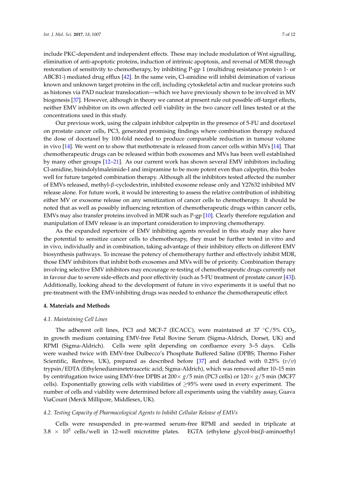include PKC-dependent and independent effects. These may include modulation of Wnt signalling, elimination of anti-apoptotic proteins, induction of intrinsic apoptosis, and reversal of MDR through restoration of sensitivity to chemotherapy, by inhibiting P-gp 1 (multidrug resistance protein 1- or ABCB1-) mediated drug efflux [42]. In the same vein, Cl-amidine will inhibit deimination of various known and unknown target proteins in the cell, including cytoskeletal actin and nuclear proteins such as histones via PAD nuclear translocation—which we have previously shown to be involved in MV biogenesis [37]. However, although in theory we cannot at present rule out possible off-target effects, neither EMV inhibitor on its own affected cell viability in the two cancer cell lines tested or at the concentrations used in this study.

Our previous work, using the calpain inhibitor calpeptin in the presence of 5-FU and docetaxel on prostate cancer cells, PC3, generated promising findings where combination therapy reduced the dose of docetaxel by 100-fold needed to produce comparable reduction in tumour volume in vivo [14]. We went on to show that methotrexate is released from cancer cells within MVs [14]. That chemotherapeutic drugs can be released within both exosomes and MVs has been well established by many other groups [12–21]. As our current work has shown several EMV inhibitors including Cl-amidine, bisindolylmaleimide-I and imipramine to be more potent even than calpeptin, this bodes well for future targeted combination therapy. Although all the inhibitors tested affected the number of EMVs released, methyl-β-cyclodextrin, inhibited exosome release only and Y27632 inhibited MV release alone. For future work, it would be interesting to assess the relative contribution of inhibiting either MV or exosome release on any sensitization of cancer cells to chemotherapy. It should be noted that as well as possibly influencing retention of chemotherapeutic drugs within cancer cells, EMVs may also transfer proteins involved in MDR such as P-gp [10]. Clearly therefore regulation and manipulation of EMV release is an important consideration to improving chemotherapy.

As the expanded repertoire of EMV inhibiting agents revealed in this study may also have the potential to sensitize cancer cells to chemotherapy, they must be further tested in vitro and in vivo, individually and in combination, taking advantage of their inhibitory effects on different EMV biosynthesis pathways. To increase the potency of chemotherapy further and effectively inhibit MDR, those EMV inhibitors that inhibit both exosomes and MVs will be of priority. Combination therapy involving selective EMV inhibitors may encourage re-testing of chemotherapeutic drugs currently not in favour due to severe side-effects and poor effectivity (such as 5-FU treatment of prostate cancer [43]). Additionally, looking ahead to the development of future in vivo experiments it is useful that no pre-treatment with the EMV-inhibiting drugs was needed to enhance the chemotherapeutic effect.

#### **4. Materials and Methods**

#### *4.1. Maintaining Cell Lines*

The adherent cell lines, PC3 and MCF-7 (ECACC), were maintained at 37  $°C/5\%$  CO<sub>2</sub>, in growth medium containing EMV-free Fetal Bovine Serum (Sigma-Aldrich, Dorset, UK) and RPMI (Sigma-Aldrich). Cells were split depending on confluence every 3–5 days. Cells were washed twice with EMV-free Dulbecco's Phosphate Buffered Saline (DPBS; Thermo Fisher Scientific, Renfrew, UK), prepared as described before [37] and detached with 0.25% (*v*/*v*) trypsin/EDTA (Ethylenediaminetetraacetic acid; Sigma-Aldrich), which was removed after 10–15 min by centrifugation twice using EMV-free DPBS at 200× *g*/5 min (PC3 cells) or 120× *g*/5 min (MCF7 cells). Exponentially growing cells with viabilities of  $\geq$ 95% were used in every experiment. The number of cells and viability were determined before all experiments using the viability assay, Guava ViaCount (Merck Millipore, Middlesex, UK).

#### *4.2. Testing Capacity of Pharmacological Agents to Inhibit Cellular Release of EMVs*

Cells were resuspended in pre-warmed serum-free RPMI and seeded in triplicate at 3.8  $\times$  10<sup>5</sup> cells/well in 12-well microtitre plates. EGTA (ethylene glycol-bis(β-aminoethyl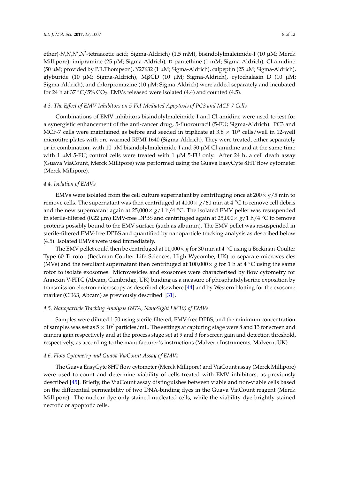ether)-*N,N,N',N'*-tetraacetic acid; Sigma-Aldrich) (1.5 mM), bisindolylmaleimide-I (10 μM; Merck Millipore), imipramine (25 µM; Sigma-Aldrich), D-pantethine (1 mM; Sigma-Aldrich), Cl-amidine (50  $\mu$ M; provided by P.R.Thompson), Y27632 (1  $\mu$ M; Sigma-Aldrich), calpeptin (25  $\mu$ M; Sigma-Aldrich), glyburide (10 µM; Sigma-Aldrich), MβCD (10 µM; Sigma-Aldrich), cytochalasin D (10 µM; Sigma-Aldrich), and chlorpromazine (10  $\mu$ M; Sigma-Aldrich) were added separately and incubated for 24 h at 37  $\rm{°C}/5\%$  CO<sub>2</sub>. EMVs released were isolated (4.4) and counted (4.5).

#### *4.3. The Effect of EMV Inhibitors on 5-FU-Mediated Apoptosis of PC3 and MCF-7 Cells*

Combinations of EMV inhibitors bisindolylmaleimide-I and Cl-amidine were used to test for a synergistic enhancement of the anti-cancer drug, 5-fluorouracil (5-FU; Sigma-Aldrich). PC3 and MCF-7 cells were maintained as before and seeded in triplicate at 3.8  $\times$  10<sup>5</sup> cells/well in 12-well microtitre plates with pre-warmed RPMI 1640 (Sigma-Aldrich). They were treated, either separately or in combination, with 10  $\mu$ M bisindolylmaleimide-I and 50  $\mu$ M Cl-amidine and at the same time with 1  $\mu$ M 5-FU; control cells were treated with 1  $\mu$ M 5-FU only. After 24 h, a cell death assay (Guava ViaCount, Merck Millipore) was performed using the Guava EasyCyte 8HT flow cytometer (Merck Millipore).

#### *4.4. Isolation of EMVs*

EMVs were isolated from the cell culture supernatant by centrifuging once at 200× *g*/5 min to remove cells. The supernatant was then centrifuged at  $4000 \times g/60$  min at  $4 °C$  to remove cell debris and the new supernatant again at  $25,000 \times g/1$  h/4 <sup>°</sup>C. The isolated EMV pellet was resuspended in sterile-filtered (0.22 µm) EMV-free DPBS and centrifuged again at 25,000× *g*/1 h/4 ◦C to remove proteins possibly bound to the EMV surface (such as albumin). The EMV pellet was resuspended in sterile-filtered EMV-free DPBS and quantified by nanoparticle tracking analysis as described below (4.5). Isolated EMVs were used immediately.

The EMV pellet could then be centrifuged at 11,000 $\times$  *g* for 30 min at 4 °C using a Beckman-Coulter Type 60 Ti rotor (Beckman Coulter Life Sciences, High Wycombe, UK) to separate microvesicles (MVs) and the resultant supernatant then centrifuged at 100,000× *g* for 1 h at 4 ◦C using the same rotor to isolate exosomes. Microvesicles and exosomes were characterised by flow cytometry for Annexin V-FITC (Abcam, Cambridge, UK) binding as a measure of phosphatidylserine exposition by transmission electron microscopy as described elsewhere [44] and by Western blotting for the exosome marker (CD63, Abcam) as previously described [31].

## *4.5. Nanoparticle Tracking Analysis (NTA, NanoSight LM10) of EMVs*

Samples were diluted 1:50 using sterile-filtered, EMV-free DPBS, and the minimum concentration of samples was set as  $5 \times 10^7$  particles/mL. The settings at capturing stage were 8 and 13 for screen and camera gain respectively and at the process stage set at 9 and 3 for screen gain and detection threshold, respectively, as according to the manufacturer's instructions (Malvern Instruments, Malvern, UK).

#### *4.6. Flow Cytometry and Guava ViaCount Assay of EMVs*

The Guava EasyCyte 8HT flow cytometer (Merck Millipore) and ViaCount assay (Merck Millipore) were used to count and determine viability of cells treated with EMV inhibitors, as previously described [45]. Briefly, the ViaCount assay distinguishes between viable and non-viable cells based on the differential permeability of two DNA-binding dyes in the Guava ViaCount reagent (Merck Millipore). The nuclear dye only stained nucleated cells, while the viability dye brightly stained necrotic or apoptotic cells.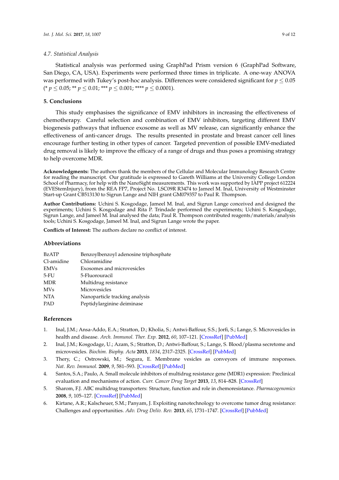## *4.7. Statistical Analysis*

# **5. Conclusions**

This study emphasises the significance of EMV inhibitors in increasing the effectiveness of chemotherapy. Careful selection and combination of EMV inhibitors, targeting different EMV biogenesis pathways that influence exosome as well as MV release, can significantly enhance the effectiveness of anti-cancer drugs. The results presented in prostate and breast cancer cell lines encourage further testing in other types of cancer. Targeted prevention of possible EMV-mediated drug removal is likely to improve the efficacy of a range of drugs and thus poses a promising strategy to help overcome MDR.

**Acknowledgments:** The authors thank the members of the Cellular and Molecular Immunology Research Centre for reading the manuscript. Our gratitude is expressed to Gareth Williams at the University College London School of Pharmacy, for help with the NanoSight measurements. This work was supported by IAPP project 612224 (EVEStemInjury), from the REA FP7, Project No. LSC09R R3474 to Jameel M. Inal, University of Westminster Start-up Grant CB513130 to Sigrun Lange and NIH grant GM079357 to Paul R. Thompson.

**Author Contributions:** Uchini S. Kosgodage, Jameel M. Inal, and Sigrun Lange conceived and designed the experiments; Uchini S. Kosgodage and Rita P. Trindade performed the experiments; Uchini S. Kosgodage, Sigrun Lange, and Jameel M. Inal analysed the data; Paul R. Thompson contributed reagents/materials/analysis tools; Uchini S. Kosgodage, Jameel M. Inal, and Sigrun Lange wrote the paper.

**Conflicts of Interest:** The authors declare no conflict of interest.

#### **Abbreviations**

| <b>BzATP</b> | Benzoylbenzoyl adenosine triphosphate |
|--------------|---------------------------------------|
| Cl-amidine   | Chloramidine                          |
| <b>EMVs</b>  | Exosomes and microvesicles            |
| $5-FU$       | 5-Fluorouracil                        |
| <b>MDR</b>   | Multidrug resistance                  |
| <b>MVs</b>   | Microvesicles                         |
| <b>NTA</b>   | Nanoparticle tracking analysis        |
| PAD          | Peptidylarginine deiminase            |
|              |                                       |

# **References**

- 1. Inal, J.M.; Ansa-Addo, E.A.; Stratton, D.; Kholia, S.; Antwi-Baffour, S.S.; Jorfi, S.; Lange, S. Microvesicles in health and disease. *Arch. Immunol. Ther. Exp.* **2012**, *60*, 107–121. [\[CrossRef\]](http://dx.doi.org/10.1007/s00005-012-0165-2) [\[PubMed\]](http://www.ncbi.nlm.nih.gov/pubmed/22307363)
- 2. Inal, J.M.; Kosgodage, U.; Azam, S.; Stratton, D.; Antwi-Baffour, S.; Lange, S. Blood/plasma secretome and microvesicles. *Biochim. Biophy. Acta* **2013**, *1834*, 2317–2325. [\[CrossRef\]](http://dx.doi.org/10.1016/j.bbapap.2013.04.005) [\[PubMed\]](http://www.ncbi.nlm.nih.gov/pubmed/23590876)
- 3. Thery, C.; Ostrowski, M.; Segura, E. Membrane vesicles as conveyors of immune responses. *Nat. Rev. Immunol.* **2009**, *9*, 581–593. [\[CrossRef\]](http://dx.doi.org/10.1038/nri2567) [\[PubMed\]](http://www.ncbi.nlm.nih.gov/pubmed/19498381)
- 4. Santos, S.A.; Paulo, A. Small molecule inhibitors of multidrug resistance gene (MDR1) expression: Preclinical evaluation and mechanisms of action. *Curr. Cancer Drug Target* **2013**, *13*, 814–828. [\[CrossRef\]](http://dx.doi.org/10.2174/15680096113139990082)
- 5. Sharom, F.J. ABC multidrug transporters: Structure, function and role in chemoresistance. *Pharmacogenomics* **2008**, *9*, 105–127. [\[CrossRef\]](http://dx.doi.org/10.2217/14622416.9.1.105) [\[PubMed\]](http://www.ncbi.nlm.nih.gov/pubmed/18154452)
- 6. Kirtane, A.R.; Kalscheuer, S.M.; Panyam, J. Exploiting nanotechnology to overcome tumor drug resistance: Challenges and opportunities. *Adv. Drug Deliv. Rev.* **2013**, *65*, 1731–1747. [\[CrossRef\]](http://dx.doi.org/10.1016/j.addr.2013.09.001) [\[PubMed\]](http://www.ncbi.nlm.nih.gov/pubmed/24036273)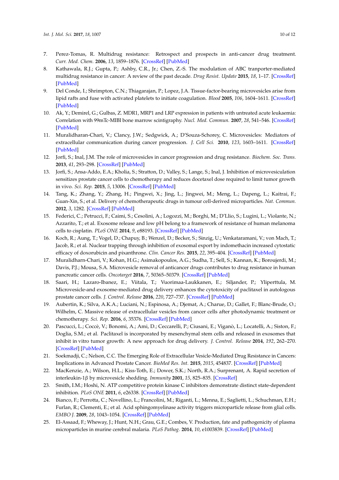- 7. Perez-Tomas, R. Multidrug resistance: Retrospect and prospects in anti-cancer drug treatment. *Curr. Med. Chem.* **2006**, *13*, 1859–1876. [\[CrossRef\]](http://dx.doi.org/10.2174/092986706777585077) [\[PubMed\]](http://www.ncbi.nlm.nih.gov/pubmed/16842198)
- 8. Kathawala, R.J.; Gupta, P.; Ashby, C.R., Jr.; Chen, Z.-S. The modulation of ABC tranporter-mediated multidrug resistance in cancer: A review of the past decade. *Drug Resist. Update* **2015**, *18*, 1–17. [\[CrossRef\]](http://dx.doi.org/10.1016/j.drup.2014.11.002) [\[PubMed\]](http://www.ncbi.nlm.nih.gov/pubmed/25554624)
- 9. Del Conde, I.; Shrimpton, C.N.; Thiagarajan, P.; Lopez, J.A. Tissue-factor-bearing microvesicles arise from lipid rafts and fuse with activated platelets to initiate coagulation. *Blood* **2005**, *106*, 1604–1611. [\[CrossRef\]](http://dx.doi.org/10.1182/blood-2004-03-1095) [\[PubMed\]](http://www.ncbi.nlm.nih.gov/pubmed/15741221)
- 10. Ak, Y.; Demirel, G.; Gulbas, Z. MDR1, MRP1 and LRP expression in patients with untreated acute leukaemia: Correlation with 99mTc-MIBI bone marrow scintigraphy. *Nucl. Med. Commun.* **2007**, *28*, 541–546. [\[CrossRef\]](http://dx.doi.org/10.1097/MNM.0b013e328194f1cd) [\[PubMed\]](http://www.ncbi.nlm.nih.gov/pubmed/17538395)
- 11. Muralidharan-Chari, V.; Clancy, J.W.; Sedgwick, A.; D'Souza-Schorey, C. Microvesicles: Mediators of extracellular communication during cancer progression. *J. Cell Sci.* **2010**, *123*, 1603–1611. [\[CrossRef\]](http://dx.doi.org/10.1242/jcs.064386) [\[PubMed\]](http://www.ncbi.nlm.nih.gov/pubmed/20445011)
- 12. Jorfi, S.; Inal, J.M. The role of microvesicles in cancer progression and drug resistance. *Biochem. Soc. Trans.* **2013**, *41*, 293–298. [\[CrossRef\]](http://dx.doi.org/10.1042/BST20120273) [\[PubMed\]](http://www.ncbi.nlm.nih.gov/pubmed/23356300)
- 13. Jorfi, S.; Ansa-Addo, E.A.; Kholia, S.; Stratton, D.; Valley, S.; Lange, S.; Inal, J. Inhibition of microvesiculation sensitizes prostate cancer cells to chemotherapy and reduces docetaxel dose required to limit tumor growth in vivo. *Sci. Rep.* **2015**, *5*, 13006. [\[CrossRef\]](http://dx.doi.org/10.1038/srep13006) [\[PubMed\]](http://www.ncbi.nlm.nih.gov/pubmed/26302712)
- 14. Tang, K.; Zhang, Y.; Zhang, H.; Pingwei, X.; Jing, L.; Jingwei, M.; Meng, L.; Dapeng, L.; Kaitrai, F.; Guan-Xin, S.; et al. Delivery of chemotherapeutic drugs in tumour cell-derived microparticles. *Nat. Commun.* **2012**, *3*, 1282. [\[CrossRef\]](http://dx.doi.org/10.1038/ncomms2282) [\[PubMed\]](http://www.ncbi.nlm.nih.gov/pubmed/23250412)
- 15. Federici, C.; Petrucci, F.; Caimi, S.; Cesolini, A.; Logozzi, M.; Borghi, M.; D'Llio, S.; Lugini, L.; Violante, N.; Azzarito, T.; et al. Exosome release and low pH belong to a framework of resistance of human melanoma cells to cisplatin. *PLoS ONE* **2014**, *9*, e88193. [\[CrossRef\]](http://dx.doi.org/10.1371/journal.pone.0088193) [\[PubMed\]](http://www.ncbi.nlm.nih.gov/pubmed/24516610)
- 16. Koch, R.; Aung, T.; Vogel, D.; Chapuy, B.; Wenzel, D.; Becker, S.; Sinzig, U.; Venkataramani, V.; von Mach, T.; Jacob, R.; et al. Nuclear trapping through inhibition of exosomal export by indomethacin increased cytostatic efficacy of doxorubicin and pixanthrone. *Clin. Cancer Res.* **2015**, *22*, 395–404. [\[CrossRef\]](http://dx.doi.org/10.1158/1078-0432.CCR-15-0577) [\[PubMed\]](http://www.ncbi.nlm.nih.gov/pubmed/26369630)
- 17. Muralidharn-Chari, V.; Kohan, H.G.; Asimakopoulos, A.G.; Sudha, T.; Sell, S.; Kannan, K.; Boroujerdi, M.; Davis, P.J.; Mousa, S.A. Microvesicle removal of anticancer drugs contributes to drug resistance in human pancreatic cancer cells. *Oncotarget* **2016**, *7*, 50365–50379. [\[CrossRef\]](http://dx.doi.org/10.18632/oncotarget.10395) [\[PubMed\]](http://www.ncbi.nlm.nih.gov/pubmed/27391262)
- 18. Saari, H.; Lazaro-Ibanez, E.; Viitala, T.; Vuorimaa-Laukkanen, E.; Siljander, P.; Yliperttula, M. Microvesicle-and exosome-mediated drug delivery enhances the cytotoxicity of paclitaxel in autologous prostate cancer cells. *J. Control. Release* **2016**, *220*, 727–737. [\[CrossRef\]](http://dx.doi.org/10.1016/j.jconrel.2015.09.031) [\[PubMed\]](http://www.ncbi.nlm.nih.gov/pubmed/26390807)
- 19. Aubertin, K.; Silva, A.K.A.; Luciani, N.; Espinosa, A.; Djemat, A.; Charue, D.; Gallet, F.; Blanc-Brude, O.; Wilhelm, C. Massive release of extracellular vesicles from cancer cells after photodynamic treatment or chemotherapy. *Sci. Rep.* **2016**, *6*, 35376. [\[CrossRef\]](http://dx.doi.org/10.1038/srep35376) [\[PubMed\]](http://www.ncbi.nlm.nih.gov/pubmed/27752092)
- 20. Pascucci, L.; Coccè, V.; Bonomi, A.; Ami, D.; Ceccarelli, P.; Ciusani, E.; Viganò, L.; Locatelli, A.; Siston, F.; Doglia, S.M.; et al. Paclitaxel is incorporated by mesenchymal stem cells and released in exosomes that inhibit in vitro tumor growth: A new approach for drug delivery. *J. Control. Release* **2014**, *192*, 262–270. [\[CrossRef\]](http://dx.doi.org/10.1016/j.jconrel.2014.07.042) [\[PubMed\]](http://www.ncbi.nlm.nih.gov/pubmed/25084218)
- 21. Soekmadji, C.; Nelson, C.C. The Emerging Role of Extracellular Vesicle-Mediated Drug Resistance in Cancers: Implications in Advanced Prostate Cancer. *BioMed Res. Int.* **2015**, *2015*, 454837. [\[CrossRef\]](http://dx.doi.org/10.1155/2015/454837) [\[PubMed\]](http://www.ncbi.nlm.nih.gov/pubmed/26587537)
- 22. MacKenzie, A.; Wilson, H.L.; Kiss-Toth, E.; Dower, S.K.; North, R.A.; Surprenant, A. Rapid secretion of interleukin-1β by microvesicle shedding. *Immunity* **2001**, *15*, 825–835. [\[CrossRef\]](http://dx.doi.org/10.1016/S1074-7613(01)00229-1)
- 23. Smith, I.M.; Hoshi, N. ATP competitive protein kinase C inhibitors demonstrate distinct state-dependent inhibition. *PLoS ONE* **2011**, *6*, e26338. [\[CrossRef\]](http://dx.doi.org/10.1371/journal.pone.0026338) [\[PubMed\]](http://www.ncbi.nlm.nih.gov/pubmed/22043317)
- 24. Bianco, F.; Perrotta, C.; Novellino, L.; Francolini, M.; Riganti, L.; Menna, E.; Saglietti, L.; Schuchman, E.H.; Furlan, R.; Clementi, E.; et al. Acid sphingomyelinase activity triggers microparticle release from glial cells. *EMBO J.* **2009**, *28*, 1043–1054. [\[CrossRef\]](http://dx.doi.org/10.1038/emboj.2009.45) [\[PubMed\]](http://www.ncbi.nlm.nih.gov/pubmed/19300439)
- 25. El-Assaad, F.; Wheway, J.; Hunt, N.H.; Grau, G.E.; Combes, V. Production, fate and pathogenicity of plasma microparticles in murine cerebral malaria. *PLoS Pathog.* **2014**, *10*, e1003839. [\[CrossRef\]](http://dx.doi.org/10.1371/journal.ppat.1003839) [\[PubMed\]](http://www.ncbi.nlm.nih.gov/pubmed/24651155)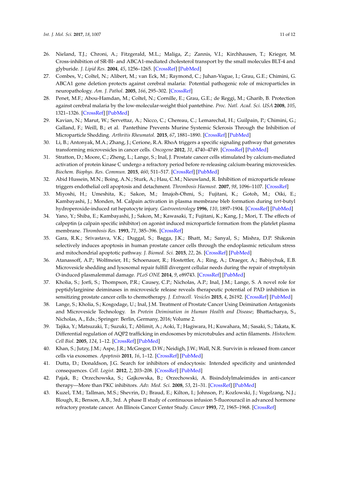- 26. Nieland, T.J.; Chroni, A.; Fitzgerald, M.L.; Maliga, Z.; Zannis, V.I.; Kirchhausen, T.; Krieger, M. Cross-inhibition of SR-BI- and ABCA1-mediated cholesterol transport by the small molecules BLT-4 and glyburide. *J. Lipid Res.* **2004**, *45*, 1256–1265. [\[CrossRef\]](http://dx.doi.org/10.1194/jlr.M300358-JLR200) [\[PubMed\]](http://www.ncbi.nlm.nih.gov/pubmed/15102890)
- 27. Combes, V.; Coltel, N.; Alibert, M.; van Eck, M.; Raymond, C.; Juhan-Vague, I.; Grau, G.E.; Chimini, G. ABCA1 gene deletion protects against cerebral malaria: Potential pathogenic role of microparticles in neuropathology. *Am. J. Pathol.* **2005**, *166*, 295–302. [\[CrossRef\]](http://dx.doi.org/10.1016/S0002-9440(10)62253-5)
- 28. Penet, M.F.; Abou-Hamdan, M.; Coltel, N.; Cornille, E.; Grau, G.E.; de Reggi, M.; Gharib, B. Protection against cerebral malaria by the low-molecular-weight thiol pantethine. *Proc. Natl. Acad. Sci. USA* **2008**, *105*, 1321–1326. [\[CrossRef\]](http://dx.doi.org/10.1073/pnas.0706867105) [\[PubMed\]](http://www.ncbi.nlm.nih.gov/pubmed/18195363)
- 29. Kavian, N.; Marut, W.; Servettaz, A.; Nicco, C.; Chereau, C.; Lemarechal, H.; Guilpain, P.; Chimini, G.; Galland, F.; Weill, B.; et al. Pantethine Prevents Murine Systemic Sclerosis Through the Inhibition of Microparticle Shedding. *Arthritis Rheumatol.* **2015**, *67*, 1881–1890. [\[CrossRef\]](http://dx.doi.org/10.1002/art.39121) [\[PubMed\]](http://www.ncbi.nlm.nih.gov/pubmed/25776044)
- 30. Li, B.; Antonyak, M.A.; Zhang, J.; Cerione, R.A. RhoA triggers a specific signaling pathway that generates transforming microvesicles in cancer cells. *Oncogene* **2012**, *31*, 4740–4749. [\[CrossRef\]](http://dx.doi.org/10.1038/onc.2011.636) [\[PubMed\]](http://www.ncbi.nlm.nih.gov/pubmed/22266864)
- 31. Stratton, D.; Moore, C.; Zheng, L.; Lange, S.; Inal, J. Prostate cancer cells stimulated by calcium-mediated activation of protein kinase C undergo a refractory period before re-releasing calcium-bearing microvesicles. *Biochem. Biophys. Res. Commun.* **2015**, *460*, 511–517. [\[CrossRef\]](http://dx.doi.org/10.1016/j.bbrc.2015.03.061) [\[PubMed\]](http://www.ncbi.nlm.nih.gov/pubmed/25797625)
- 32. Abid Hussein, M.N.; Boing, A.N.; Sturk, A.; Hau, C.M.; Nieuwland, R. Inhibition of microparticle release triggers endothelial cell apoptosis and detachment. *Thrombosis Haemost.* **2007**, *98*, 1096–1107. [\[CrossRef\]](http://dx.doi.org/10.1160/TH05-04-0231)
- 33. Miyoshi, H.; Umeshita, K.; Sakon, M.; Imajoh-Ohmi, S.; Fujitani, K.; Gotoh, M.; Oiki, E.; Kambayashi, J.; Monden, M. Calpain activation in plasma membrane bleb formation during *tert*-butyl hydroperoxide-induced rat hepatocyte injury. *Gastroenterology* **1996**, *110*, 1897–1904. [\[CrossRef\]](http://dx.doi.org/10.1053/gast.1996.v110.pm8964416) [\[PubMed\]](http://www.ncbi.nlm.nih.gov/pubmed/8964416)
- 34. Yano, Y.; Shiba, E.; Kambayashi, J.; Sakon, M.; Kawasaki, T.; Fujitani, K.; Kang, J.; Mori, T. The effects of calpeptin (a calpain specific inhibitor) on agonist induced microparticle formation from the platelet plasma membrane. *Thrombosis Res.* **1993**, *71*, 385–396. [\[CrossRef\]](http://dx.doi.org/10.1016/0049-3848(93)90163-I)
- 35. Gara, R.K.; Srivastava, V.K.; Duggal, S.; Bagga, J.K.; Bhatt, M.; Sanyal, S.; Mishra, D.P. Shikonin selectively induces apoptosis in human prostate cancer cells through the endoplasmic reticulum stress and mitochondrial apoptotic pathway. *J. Biomed. Sci.* **2015**, *22*, 26. [\[CrossRef\]](http://dx.doi.org/10.1186/s12929-015-0127-1) [\[PubMed\]](http://www.ncbi.nlm.nih.gov/pubmed/25879420)
- 36. Atanassoff, A.P.; Wolfmeier, H.; Schoenauer, R.; Hostettler, A.; Ring, A.; Draeger, A.; Babiychuk, E.B. Microvesicle shedding and lysosomal repair fulfill divergent cellular needs during the repair of streptolysin O-induced plasmalemmal damage. *PLoS ONE* **2014**, *9*, e89743. [\[CrossRef\]](http://dx.doi.org/10.1371/journal.pone.0089743) [\[PubMed\]](http://www.ncbi.nlm.nih.gov/pubmed/24587004)
- 37. Kholia, S.; Jorfi, S.; Thompson, P.R.; Causey, C.P.; Nicholas, A.P.; Inal, J.M.; Lange, S. A novel role for peptidylarginine deiminases in microvesicle release reveals therapeutic potential of PAD inhibition in sensitizing prostate cancer cells to chemotherapy. *J. Extracell. Vesicles* **2015**, *4*, 26192. [\[CrossRef\]](http://dx.doi.org/10.3402/jev.v4.26192) [\[PubMed\]](http://www.ncbi.nlm.nih.gov/pubmed/26095379)
- 38. Lange, S.; Kholia, S.; Kosgodage, U.; Inal, J.M. Treatment of Prostate Cancer Using Deimination Antagonists and Microvesicle Technology. In *Protein Deimination in Human Health and Disease*; Bhattacharya, S., Nicholas, A., Eds.; Springer: Berlin, Germany, 2016; Volume 2.
- 39. Tajika, Y.; Matsuzaki, T.; Suzuki, T.; Ablimit, A.; Aoki, T.; Hagiwara, H.; Kuwahara, M.; Sasaki, S.; Takata, K. Differential regulation of AQP2 trafficking in endosomes by microtubules and actin filaments. *Histochem. Cell Biol.* **2005**, *124*, 1–12. [\[CrossRef\]](http://dx.doi.org/10.1007/s00418-005-0010-3) [\[PubMed\]](http://www.ncbi.nlm.nih.gov/pubmed/16049696)
- 40. Khan, S.; Jutzy, J.M.; Aspe, J.R.; McGregor, D.W.; Neidigh, J.W.; Wall, N.R. Survivin is released from cancer cells via exosomes. *Apoptosis* **2011**, *16*, 1–12. [\[CrossRef\]](http://dx.doi.org/10.1007/s10495-010-0534-4) [\[PubMed\]](http://www.ncbi.nlm.nih.gov/pubmed/20717727)
- 41. Dutta, D.; Donaldson, J.G. Search for inhibitors of endocytosis: Intended specificity and unintended consequences. *Cell. Logist.* **2012**, *2*, 203–208. [\[CrossRef\]](http://dx.doi.org/10.4161/cl.23967) [\[PubMed\]](http://www.ncbi.nlm.nih.gov/pubmed/23538558)
- 42. Pajak, B.; Orzechowska, S.; Gajkowska, B.; Orzechowski, A. Bisindolylmaleimides in anti-cancer therapy—More than PKC inhibitors. *Adv. Med. Sci.* **2008**, *53*, 21–31. [\[CrossRef\]](http://dx.doi.org/10.2478/v10039-008-0028-6) [\[PubMed\]](http://www.ncbi.nlm.nih.gov/pubmed/18635421)
- 43. Kuzel, T.M.; Tallman, M.S.; Shevrin, D.; Braud, E.; Kilton, I.; Johnson, P.; Kozlowski, J.; Vogelzang, N.J.; Blough, R.; Benson, A.B., 3rd. A phase II study of continuous infusion 5-fluorouracil in advanced hormone refractory prostate cancer. An Illinois Cancer Center Study. *Cancer* **1993**, *72*, 1965–1968. [\[CrossRef\]](http://dx.doi.org/10.1002/1097-0142(19930915)72:6<1965::AID-CNCR2820720629>3.0.CO;2-X)